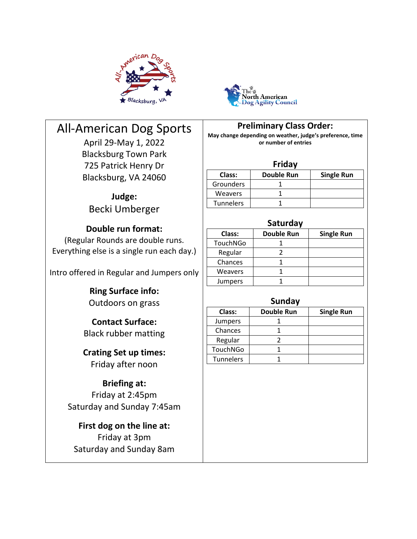



# All-American Dog Sports

April 29-May 1, 2022 Blacksburg Town Park 725 Patrick Henry Dr Blacksburg, VA 24060

> **Judge:** Becki Umberger

## **Double run format:**

(Regular Rounds are double runs. Everything else is a single run each day.)

Intro offered in Regular and Jumpers only

**Ring Surface info:** Outdoors on grass

**Contact Surface:** Black rubber matting

**Crating Set up times:** Friday after noon

# **Briefing at:**

Friday at 2:45pm Saturday and Sunday 7:45am

**First dog on the line at:** Friday at 3pm Saturday and Sunday 8am **Preliminary Class Order:**

**May change depending on weather, judge's preference, time or number of entries**

#### **Friday**

| Class:           | <b>Double Run</b> | <b>Single Run</b> |
|------------------|-------------------|-------------------|
| Grounders        |                   |                   |
| Weavers          |                   |                   |
| <b>Tunnelers</b> |                   |                   |

#### **Saturday**

| Class:         | <b>Double Run</b> | <b>Single Run</b> |  |
|----------------|-------------------|-------------------|--|
| TouchNGo       |                   |                   |  |
| Regular        |                   |                   |  |
| Chances        |                   |                   |  |
| <b>Weavers</b> |                   |                   |  |
| Jumpers        |                   |                   |  |

### **Sunday**

| Class:         | <b>Double Run</b> | <b>Single Run</b> |  |  |  |  |  |
|----------------|-------------------|-------------------|--|--|--|--|--|
| <b>Jumpers</b> |                   |                   |  |  |  |  |  |
| Chances        |                   |                   |  |  |  |  |  |
| Regular        |                   |                   |  |  |  |  |  |
| TouchNGo       |                   |                   |  |  |  |  |  |
| Tunnelers      |                   |                   |  |  |  |  |  |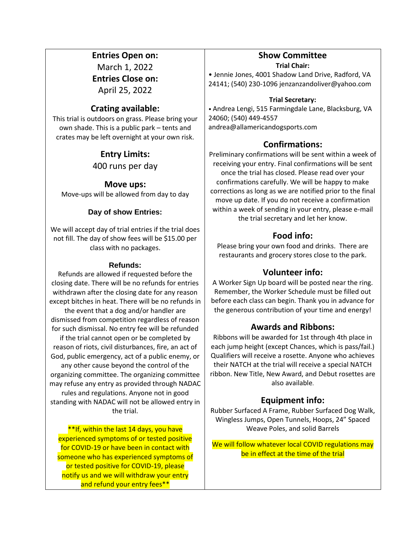#### **Entries Open on:**

March 1, 2022 **Entries Close on:**

April 25, 2022

### **Crating available:**

This trial is outdoors on grass. Please bring your own shade. This is a public park – tents and crates may be left overnight at your own risk.

# **Entry Limits:** 400 runs per day

**Move ups:** Move-ups will be allowed from day to day

### **Day of show Entries:**

We will accept day of trial entries if the trial does not fill. The day of show fees will be \$15.00 per class with no packages.

#### **Refunds:**

Refunds are allowed if requested before the closing date. There will be no refunds for entries withdrawn after the closing date for any reason except bitches in heat. There will be no refunds in the event that a dog and/or handler are dismissed from competition regardless of reason for such dismissal. No entry fee will be refunded if the trial cannot open or be completed by reason of riots, civil disturbances, fire, an act of God, public emergency, act of a public enemy, or any other cause beyond the control of the organizing committee. The organizing committee may refuse any entry as provided through NADAC rules and regulations. Anyone not in good standing with NADAC will not be allowed entry in the trial.

\*\*If, within the last 14 days, you have experienced symptoms of or tested positive for COVID-19 or have been in contact with someone who has experienced symptoms of or tested positive for COVID-19, please notify us and we will withdraw your entry and refund your entry fees\*\*

### **Show Committee**

**Trial Chair:** 

• Jennie Jones, 4001 Shadow Land Drive, Radford, VA 24141; (540) 230-1096 jenzanzandoliver@yahoo.com

#### **Trial Secretary:**

• Andrea Lengi, 515 Farmingdale Lane, Blacksburg, VA 24060; (540) 449-4557 andrea@allamericandogsports.com

### **Confirmations:**

Preliminary confirmations will be sent within a week of receiving your entry. Final confirmations will be sent once the trial has closed. Please read over your confirmations carefully. We will be happy to make corrections as long as we are notified prior to the final move up date. If you do not receive a confirmation within a week of sending in your entry, please e-mail the trial secretary and let her know.

### **Food info:**

Please bring your own food and drinks. There are restaurants and grocery stores close to the park.

### **Volunteer info:**

A Worker Sign Up board will be posted near the ring. Remember, the Worker Schedule must be filled out before each class can begin. Thank you in advance for the generous contribution of your time and energy!

### **Awards and Ribbons:**

Ribbons will be awarded for 1st through 4th place in each jump height (except Chances, which is pass/fail.) Qualifiers will receive a rosette. Anyone who achieves their NATCH at the trial will receive a special NATCH ribbon. New Title, New Award, and Debut rosettes are also available.

### **Equipment info:**

Rubber Surfaced A Frame, Rubber Surfaced Dog Walk, Wingless Jumps, Open Tunnels, Hoops, 24" Spaced Weave Poles, and solid Barrels

We will follow whatever local COVID regulations may be in effect at the time of the trial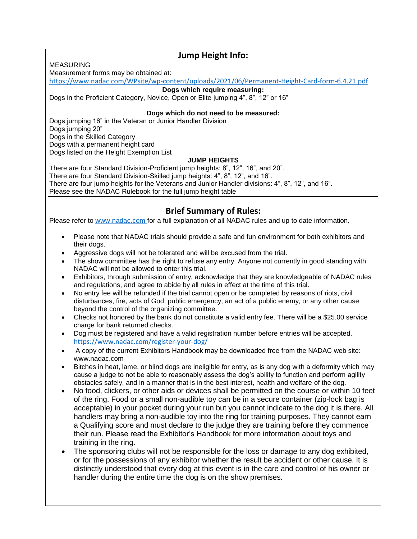MEASURING

### **Jump Height Info:**

Measurement forms may be obtained at:

<https://www.nadac.com/WPsite/wp-content/uploads/2021/06/Permanent-Height-Card-form-6.4.21.pdf>

#### **Dogs which require measuring:**

Dogs in the Proficient Category, Novice, Open or Elite jumping 4", 8", 12" or 16"

#### **Dogs which do not need to be measured:**

Dogs jumping 16" in the Veteran or Junior Handler Division Dogs jumping 20" Dogs in the Skilled Category Dogs with a permanent height card Dogs listed on the Height Exemption List

#### **JUMP HEIGHTS**

There are four Standard Division-Proficient jump heights: 8", 12", 16", and 20". There are four Standard Division-Skilled jump heights: 4", 8", 12", and 16". There are four jump heights for the Veterans and Junior Handler divisions: 4", 8", 12", and 16". Please see the NADAC Rulebook for the full jump height table

### **Brief Summary of Rules:**

Please refer to [www.nadac.com](http://www.nadac.com/) for a full explanation of all NADAC rules and up to date information.

- Please note that NADAC trials should provide a safe and fun environment for both exhibitors and their dogs.
- Aggressive dogs will not be tolerated and will be excused from the trial.
- The show committee has the right to refuse any entry. Anyone not currently in good standing with NADAC will not be allowed to enter this trial.
- Exhibitors, through submission of entry, acknowledge that they are knowledgeable of NADAC rules and regulations, and agree to abide by all rules in effect at the time of this trial.
- No entry fee will be refunded if the trial cannot open or be completed by reasons of riots, civil disturbances, fire, acts of God, public emergency, an act of a public enemy, or any other cause beyond the control of the organizing committee.
- Checks not honored by the bank do not constitute a valid entry fee. There will be a \$25.00 service charge for bank returned checks.
- Dog must be registered and have a valid registration number before entries will be accepted. <https://www.nadac.com/register-your-dog/>
- A copy of the current Exhibitors Handbook may be downloaded free from the NADAC web site: www.nadac.com
- Bitches in heat, lame, or blind dogs are ineligible for entry, as is any dog with a deformity which may cause a judge to not be able to reasonably assess the dog's ability to function and perform agility obstacles safely, and in a manner that is in the best interest, health and welfare of the dog.
- No food, clickers, or other aids or devices shall be permitted on the course or within 10 feet of the ring. Food or a small non-audible toy can be in a secure container (zip-lock bag is acceptable) in your pocket during your run but you cannot indicate to the dog it is there. All handlers may bring a non-audible toy into the ring for training purposes. They cannot earn a Qualifying score and must declare to the judge they are training before they commence their run. Please read the Exhibitor's Handbook for more information about toys and training in the ring.
- The sponsoring clubs will not be responsible for the loss or damage to any dog exhibited, or for the possessions of any exhibitor whether the result be accident or other cause. It is distinctly understood that every dog at this event is in the care and control of his owner or handler during the entire time the dog is on the show premises.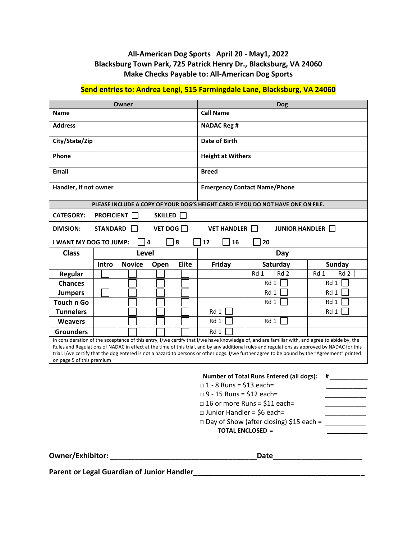#### **All-American Dog Sports April 20 - May1, 2022 Blacksburg Town Park, 725 Patrick Henry Dr., Blacksburg, VA 24060 Make Checks Payable to: All-American Dog Sports**

#### **Send entries to: Andrea Lengi, 515 Farmingdale Lane, Blacksburg, VA 24060**

| Owner                                                                                                                                                                                                                                                                                                                                                                                                                                                                       |                                                                                  | <b>Dog</b>    |                                     |       |                                     |                                                                                 |                         |
|-----------------------------------------------------------------------------------------------------------------------------------------------------------------------------------------------------------------------------------------------------------------------------------------------------------------------------------------------------------------------------------------------------------------------------------------------------------------------------|----------------------------------------------------------------------------------|---------------|-------------------------------------|-------|-------------------------------------|---------------------------------------------------------------------------------|-------------------------|
| <b>Name</b>                                                                                                                                                                                                                                                                                                                                                                                                                                                                 |                                                                                  |               | <b>Call Name</b>                    |       |                                     |                                                                                 |                         |
| <b>Address</b>                                                                                                                                                                                                                                                                                                                                                                                                                                                              |                                                                                  |               | <b>NADAC Reg #</b>                  |       |                                     |                                                                                 |                         |
| City/State/Zip                                                                                                                                                                                                                                                                                                                                                                                                                                                              |                                                                                  |               | Date of Birth                       |       |                                     |                                                                                 |                         |
| Phone                                                                                                                                                                                                                                                                                                                                                                                                                                                                       |                                                                                  |               | <b>Height at Withers</b>            |       |                                     |                                                                                 |                         |
| <b>Email</b>                                                                                                                                                                                                                                                                                                                                                                                                                                                                |                                                                                  |               | <b>Breed</b>                        |       |                                     |                                                                                 |                         |
| Handler, If not owner                                                                                                                                                                                                                                                                                                                                                                                                                                                       |                                                                                  |               | <b>Emergency Contact Name/Phone</b> |       |                                     |                                                                                 |                         |
|                                                                                                                                                                                                                                                                                                                                                                                                                                                                             |                                                                                  |               |                                     |       |                                     | PLEASE INCLUDE A COPY OF YOUR DOG'S HEIGHT CARD IF YOU DO NOT HAVE ONE ON FILE. |                         |
| <b>CATEGORY:</b>                                                                                                                                                                                                                                                                                                                                                                                                                                                            | <b>PROFICIENT</b>                                                                |               | SKILLED                             |       |                                     |                                                                                 |                         |
| <b>DIVISION:</b>                                                                                                                                                                                                                                                                                                                                                                                                                                                            | VET DOG $\Box$<br><b>STANDARD</b><br><b>VET HANDLER</b><br><b>JUNIOR HANDLER</b> |               |                                     |       |                                     |                                                                                 |                         |
| <b>I WANT MY DOG TO JUMP:</b>                                                                                                                                                                                                                                                                                                                                                                                                                                               |                                                                                  |               | $\overline{\mathbf{4}}$             | 8     | 12<br>16                            | 20                                                                              |                         |
| <b>Class</b>                                                                                                                                                                                                                                                                                                                                                                                                                                                                |                                                                                  | <b>Level</b>  |                                     |       | Day                                 |                                                                                 |                         |
|                                                                                                                                                                                                                                                                                                                                                                                                                                                                             | Intro                                                                            | <b>Novice</b> | Open                                | Elite | Friday                              | Saturday                                                                        | <b>Sunday</b>           |
| Regular                                                                                                                                                                                                                                                                                                                                                                                                                                                                     |                                                                                  |               |                                     |       |                                     | Rd <sub>2</sub><br>Rd 1                                                         | Rd <sub>2</sub><br>Rd 1 |
| <b>Chances</b>                                                                                                                                                                                                                                                                                                                                                                                                                                                              |                                                                                  |               |                                     |       |                                     | Rd 1                                                                            | Rd 1                    |
| <b>Jumpers</b>                                                                                                                                                                                                                                                                                                                                                                                                                                                              |                                                                                  |               |                                     |       |                                     | Rd 1                                                                            | Rd 1                    |
| <b>Touch n Go</b>                                                                                                                                                                                                                                                                                                                                                                                                                                                           |                                                                                  |               |                                     |       |                                     | Rd 1                                                                            | Rd 1                    |
| <b>Tunnelers</b>                                                                                                                                                                                                                                                                                                                                                                                                                                                            |                                                                                  |               |                                     |       | Rd 1                                |                                                                                 | Rd 1                    |
| <b>Weavers</b>                                                                                                                                                                                                                                                                                                                                                                                                                                                              |                                                                                  |               |                                     |       | Rd 1                                | Rd 1                                                                            |                         |
| <b>Grounders</b>                                                                                                                                                                                                                                                                                                                                                                                                                                                            |                                                                                  |               |                                     |       | Rd 1                                |                                                                                 |                         |
| In consideration of the acceptance of this entry, I/we certify that I/we have knowledge of, and are familiar with, and agree to abide by, the<br>Rules and Regulations of NADAC in effect at the time of this trial, and by any additional rules and regulations as approved by NADAC for this<br>trial. I/we certify that the dog entered is not a hazard to persons or other dogs. I/we further agree to be bound by the "Agreement" printed<br>on page 5 of this premium |                                                                                  |               |                                     |       |                                     |                                                                                 |                         |
| <b>Number of Total Runs Entered (all dogs):</b>                                                                                                                                                                                                                                                                                                                                                                                                                             |                                                                                  |               |                                     |       |                                     |                                                                                 |                         |
|                                                                                                                                                                                                                                                                                                                                                                                                                                                                             | #<br>$\Box$ 1 - 8 Runs = \$13 each=                                              |               |                                     |       |                                     |                                                                                 |                         |
|                                                                                                                                                                                                                                                                                                                                                                                                                                                                             | $\Box$ 9 - 15 Runs = \$12 each=                                                  |               |                                     |       |                                     |                                                                                 |                         |
|                                                                                                                                                                                                                                                                                                                                                                                                                                                                             |                                                                                  |               |                                     |       | $\Box$ 16 or more Runs = \$11 each= |                                                                                 |                         |

 **TOTAL ENCLOSED = \_\_\_\_\_\_\_\_\_\_\_\_** 

 $\Box$  Junior Handler = \$6 each=

**Owner/Exhibitor: \_\_\_\_\_\_\_\_\_\_\_\_\_\_\_\_\_\_\_\_\_\_\_\_\_\_\_\_\_\_\_\_\_\_\_\_Date\_\_\_\_\_\_\_\_\_\_\_\_\_\_\_\_\_\_\_\_\_\_**

□ Day of Show (after closing) \$15 each = \_\_\_\_\_\_\_\_\_\_\_

Parent or Legal Guardian of Junior Handler<br> **Parent or Legal Guardian of Junior Handler**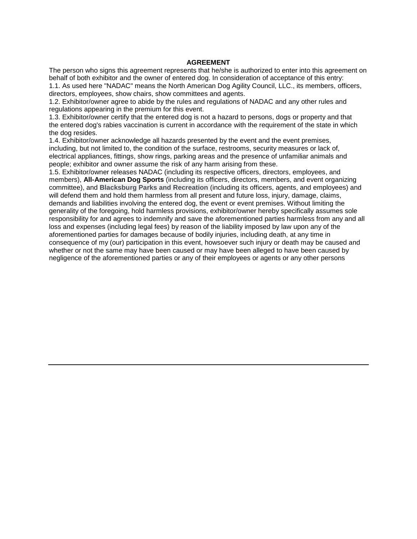#### **AGREEMENT**

The person who signs this agreement represents that he/she is authorized to enter into this agreement on behalf of both exhibitor and the owner of entered dog. In consideration of acceptance of this entry:

1.1. As used here "NADAC" means the North American Dog Agility Council, LLC., its members, officers, directors, employees, show chairs, show committees and agents.

1.2. Exhibitor/owner agree to abide by the rules and regulations of NADAC and any other rules and regulations appearing in the premium for this event.

1.3. Exhibitor/owner certify that the entered dog is not a hazard to persons, dogs or property and that the entered dog's rabies vaccination is current in accordance with the requirement of the state in which the dog resides.

1.4. Exhibitor/owner acknowledge all hazards presented by the event and the event premises, including, but not limited to, the condition of the surface, restrooms, security measures or lack of, electrical appliances, fittings, show rings, parking areas and the presence of unfamiliar animals and people; exhibitor and owner assume the risk of any harm arising from these.

1.5. Exhibitor/owner releases NADAC (including its respective officers, directors, employees, and members), **All-American Dog Sports** (including its officers, directors, members, and event organizing committee), and **Blacksburg Parks and Recreation** (including its officers, agents, and employees) and will defend them and hold them harmless from all present and future loss, injury, damage, claims, demands and liabilities involving the entered dog, the event or event premises. Without limiting the generality of the foregoing, hold harmless provisions, exhibitor/owner hereby specifically assumes sole responsibility for and agrees to indemnify and save the aforementioned parties harmless from any and all loss and expenses (including legal fees) by reason of the liability imposed by law upon any of the aforementioned parties for damages because of bodily injuries, including death, at any time in consequence of my (our) participation in this event, howsoever such injury or death may be caused and whether or not the same may have been caused or may have been alleged to have been caused by negligence of the aforementioned parties or any of their employees or agents or any other persons